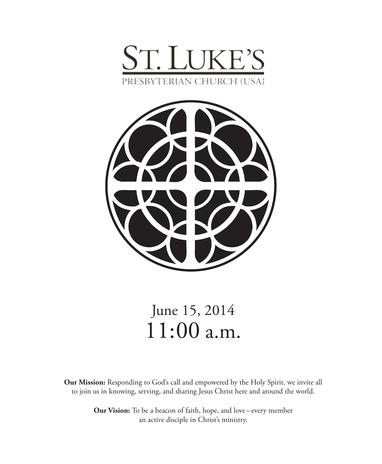



# June 15, 2014 11:00 a.m.

**Our Mission:** Responding to God's call and empowered by the Holy Spirit, we invite all to join us in knowing, serving, and sharing Jesus Christ here and around the world.

> **Our Vision:** To be a beacon of faith, hope, and love – every member an active disciple in Christ's ministry.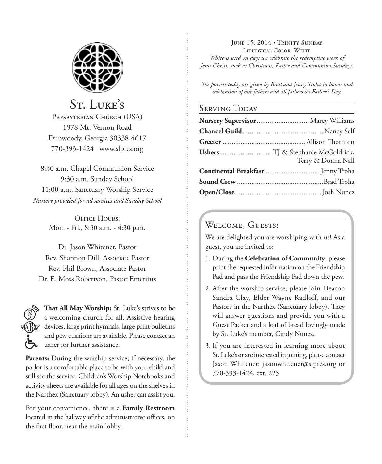

St. Luke's PRESBYTERIAN CHURCH (USA) 1978 Mt. Vernon Road Dunwoody, Georgia 30338-4617 770-393-1424 www.slpres.org

8:30 a.m. Chapel Communion Service 9:30 a.m. Sunday School 11:00 a.m. Sanctuary Worship Service *Nursery provided for all services and Sunday School*

> **OFFICE HOURS:** Mon. - Fri., 8:30 a.m. - 4:30 p.m.

Dr. Jason Whitener, Pastor Rev. Shannon Dill, Associate Pastor Rev. Phil Brown, Associate Pastor Dr. E. Moss Robertson, Pastor Emeritus



**That All May Worship:** St. Luke's strives to be a welcoming church for all. Assistive hearing devices, large print hymnals, large print bulletins and pew cushions are available. Please contact an usher for further assistance.

**Parents:** During the worship service, if necessary, the parlor is a comfortable place to be with your child and still see the service. Children's Worship Notebooks and activity sheets are available for all ages on the shelves in the Narthex (Sanctuary lobby). An usher can assist you.

For your convenience, there is a **Family Restroom** located in the hallway of the administrative offices, on the first floor, near the main lobby.

JUNE 15, 2014 • TRINITY SUNDAY Liturgical Color: White *White is used on days we celebrate the redemptive work of Jesus Christ, such as Christmas, Easter and Communion Sundays.* 

*The flowers today are given by Brad and Jenny Troha in honor and celebration of our fathers and all fathers on Father's Day.*

#### Serving Today

| Nursery Supervisor  Marcy Williams |
|------------------------------------|
|                                    |
|                                    |
| Terry & Donna Nall                 |
|                                    |
|                                    |
|                                    |

#### Welcome, Guests!

We are delighted you are worshiping with us! As a guest, you are invited to:

- 1. During the **Celebration of Community**, please print the requested information on the Friendship Pad and pass the Friendship Pad down the pew.
- 2. After the worship service, please join Deacon Sandra Clay, Elder Wayne Radloff, and our Pastors in the Narthex (Sanctuary lobby). They will answer questions and provide you with a Guest Packet and a loaf of bread lovingly made by St. Luke's member, Cindy Nunez.
- 3. If you are interested in learning more about St. Luke's or are interested in joining, please contact Jason Whitener: jasonwhitener@slpres.org or 770-393-1424, ext. 223.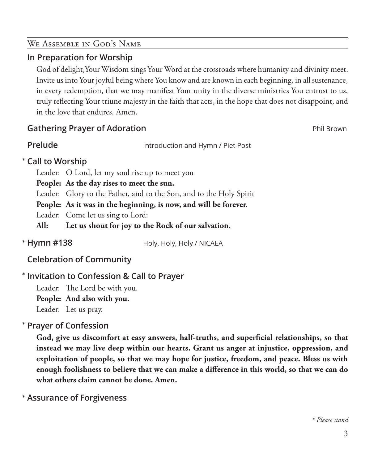# We Assemble in God's Name

# **In Preparation for Worship**

 God of delight,Your Wisdom sings Your Word at the crossroads where humanity and divinity meet. Invite us into Your joyful being where You know and are known in each beginning, in all sustenance, in every redemption, that we may manifest Your unity in the diverse ministries You entrust to us, truly reflecting Your triune majesty in the faith that acts, in the hope that does not disappoint, and in the love that endures. Amen.

# **Gathering Prayer of Adoration Phil Brown Phil Brown Phil Brown**

**Prelude Introduction and Hymn / Piet Post** 

# **Call to Worship**  \*

Leader: O Lord, let my soul rise up to meet you

**People: As the day rises to meet the sun.** 

Leader: Glory to the Father, and to the Son, and to the Holy Spirit

**People: As it was in the beginning, is now, and will be forever.** 

Leader: Come let us sing to Lord:

**All: Let us shout for joy to the Rock of our salvation.** 

\* Hymn #138

Holy, Holy, Holy / NICAEA

# **Celebration of Community**

# **Invitation to Confession & Call to Prayer**  \*

Leader: The Lord be with you. **People: And also with you.**

Leader: Let us pray.

#### **Prayer of Confession**  \*

 **God, give us discomfort at easy answers, half-truths, and superficial relationships, so that instead we may live deep within our hearts. Grant us anger at injustice, oppression, and exploitation of people, so that we may hope for justice, freedom, and peace. Bless us with enough foolishness to believe that we can make a difference in this world, so that we can do what others claim cannot be done. Amen.**

**Assurance of Forgiveness** \*

*\* Please stand*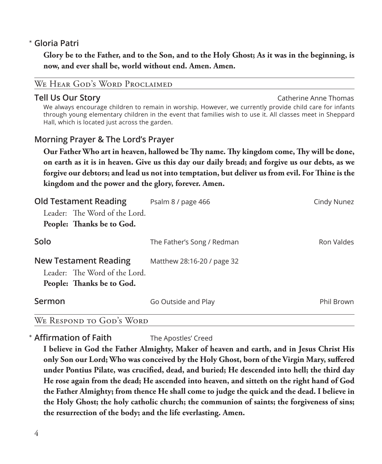# **Gloria Patri** \*

 **Glory be to the Father, and to the Son, and to the Holy Ghost; As it was in the beginning, is now, and ever shall be, world without end. Amen. Amen.**

### We Hear God's Word Proclaimed

**Tell Us Our Story** Catherine Anne Thomas Catherine Anne Thomas We always encourage children to remain in worship. However, we currently provide child care for infants through young elementary children in the event that families wish to use it. All classes meet in Sheppard Hall, which is located just across the garden.

### **Morning Prayer & The Lord's Prayer**

 **Our Father Who art in heaven, hallowed be Thy name. Thy kingdom come, Thy will be done, on earth as it is in heaven. Give us this day our daily bread; and forgive us our debts, as we forgive our debtors; and lead us not into temptation, but deliver us from evil. For Thine is the kingdom and the power and the glory, forever. Amen.**

| <b>Old Testament Reading</b>                                                               | Psalm 8 / page 466         | Cindy Nunez |
|--------------------------------------------------------------------------------------------|----------------------------|-------------|
| Leader: The Word of the Lord.                                                              |                            |             |
| People: Thanks be to God.                                                                  |                            |             |
| Solo                                                                                       | The Father's Song / Redman | Ron Valdes  |
| <b>New Testament Reading</b><br>Leader: The Word of the Lord.<br>People: Thanks be to God. | Matthew 28:16-20 / page 32 |             |
| Sermon                                                                                     | Go Outside and Play        | Phil Brown  |
| WE RESPOND TO GOD'S WORD                                                                   |                            |             |

**Affirmation of Faith** The Apostles' Creed \*

 **I believe in God the Father Almighty, Maker of heaven and earth, and in Jesus Christ His only Son our Lord; Who was conceived by the Holy Ghost, born of the Virgin Mary, suffered under Pontius Pilate, was crucified, dead, and buried; He descended into hell; the third day He rose again from the dead; He ascended into heaven, and sitteth on the right hand of God the Father Almighty; from thence He shall come to judge the quick and the dead. I believe in the Holy Ghost; the holy catholic church; the communion of saints; the forgiveness of sins; the resurrection of the body; and the life everlasting. Amen.**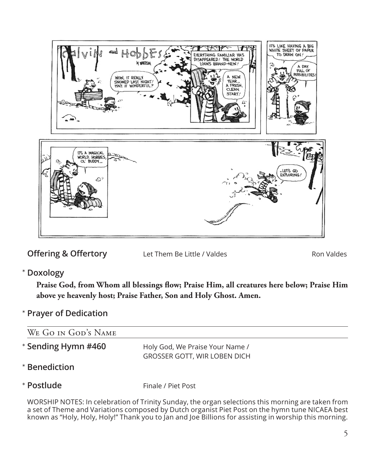

**Offering & Offertory** Let Them Be Little / Valdes Ron Valdes

**Doxology** \*

 **Praise God, from Whom all blessings flow; Praise Him, all creatures here below; Praise Him above ye heavenly host; Praise Father, Son and Holy Ghost. Amen.**

**Prayer of Dedication** \*

| WE GO IN GOD'S NAME |                                                                        |
|---------------------|------------------------------------------------------------------------|
| * Sending Hymn #460 | Holy God, We Praise Your Name /<br><b>GROSSER GOTT, WIR LOBEN DICH</b> |
| * Benediction       |                                                                        |
| * Postlude          | Finale / Piet Post                                                     |

WORSHIP NOTES: In celebration of Trinity Sunday, the organ selections this morning are taken from a set of Theme and Variations composed by Dutch organist Piet Post on the hymn tune NICAEA best known as "Holy, Holy, Holy!" Thank you to Jan and Joe Billions for assisting in worship this morning.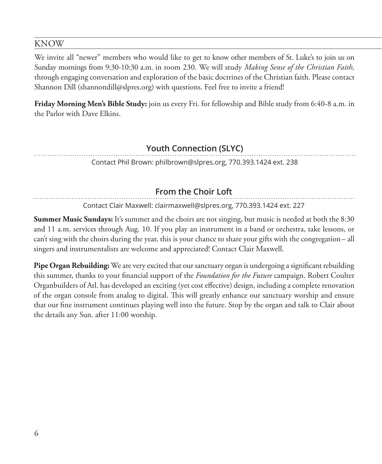#### KNOW

We invite all "newer" members who would like to get to know other members of St. Luke's to join us on Sunday mornings from 9:30-10:30 a.m. in room 230. We will study *Making Sense of the Christian Faith,* through engaging conversation and exploration of the basic doctrines of the Christian faith. Please contact Shannon Dill (shannondill@slpres.org) with questions. Feel free to invite a friend!

**Friday Morning Men's Bible Study:** join us every Fri. for fellowship and Bible study from 6:40-8 a.m. in the Parlor with Dave Elkins.

# **Youth Connection (SLYC)**

Contact Phil Brown: philbrown@slpres.org, 770.393.1424 ext. 238

# **From the Choir Loft**

Contact Clair Maxwell: clairmaxwell@slpres.org, 770.393.1424 ext. 227

**Summer Music Sundays:** It's summer and the choirs are not singing, but music is needed at both the 8:30 and 11 a.m. services through Aug. 10. If you play an instrument in a band or orchestra, take lessons, or can't sing with the choirs during the year, this is your chance to share your gifts with the congregation– all singers and instrumentalists are welcome and appreciated! Contact Clair Maxwell.

**Pipe Organ Rebuilding:** We are very excited that our sanctuary organ is undergoing a significant rebuilding this summer, thanks to your financial support of the *Foundation for the Future* campaign. Robert Coulter Organbuilders of Atl. has developed an exciting (yet cost effective) design, including a complete renovation of the organ console from analog to digital. This will greatly enhance our sanctuary worship and ensure that our fine instrument continues playing well into the future. Stop by the organ and talk to Clair about the details any Sun. after 11:00 worship.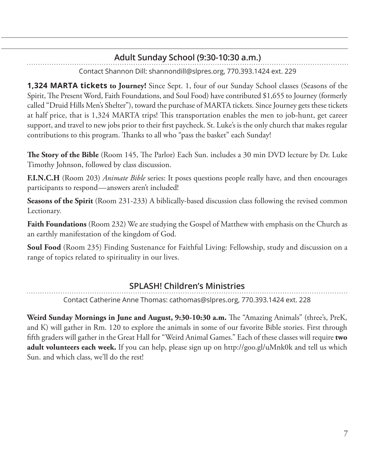# **Adult Sunday School (9:30-10:30 a.m.)**

Contact Shannon Dill: shannondill@slpres.org, 770.393.1424 ext. 229

**1,324 MARTA tickets to Journey!** Since Sept. 1, four of our Sunday School classes (Seasons of the Spirit, The Present Word, Faith Foundations, and Soul Food) have contributed \$1,655 to Journey (formerly called "Druid Hills Men's Shelter"), toward the purchase of MARTA tickets. Since Journey gets these tickets at half price, that is 1,324 MARTA trips! This transportation enables the men to job-hunt, get career support, and travel to new jobs prior to their first paycheck. St. Luke's is the only church that makes regular contributions to this program. Thanks to all who "pass the basket" each Sunday!

**The Story of the Bible** (Room 145, The Parlor) Each Sun. includes a 30 min DVD lecture by Dr. Luke Timothy Johnson, followed by class discussion.

**F.I.N.C.H** (Room 203) *Animate Bible* series: It poses questions people really have, and then encourages participants to respond—answers aren't included!

**Seasons of the Spirit** (Room 231-233) A biblically-based discussion class following the revised common Lectionary.

**Faith Foundations** (Room 232) We are studying the Gospel of Matthew with emphasis on the Church as an earthly manifestation of the kingdom of God.

**Soul Food** (Room 235) Finding Sustenance for Faithful Living: Fellowship, study and discussion on a range of topics related to spirituality in our lives.

# **SPLASH! Children's Ministries**

Contact Catherine Anne Thomas: cathomas@slpres.org, 770.393.1424 ext. 228

**Weird Sunday Mornings in June and August, 9:30-10:30 a.m.** The "Amazing Animals" (three's, PreK, and K) will gather in Rm. 120 to explore the animals in some of our favorite Bible stories. First through fifth graders will gather in the Great Hall for "Weird Animal Games." Each of these classes will require **two adult volunteers each week.** If you can help, please sign up on http://goo.gl/uMnk0k and tell us which Sun. and which class, we'll do the rest!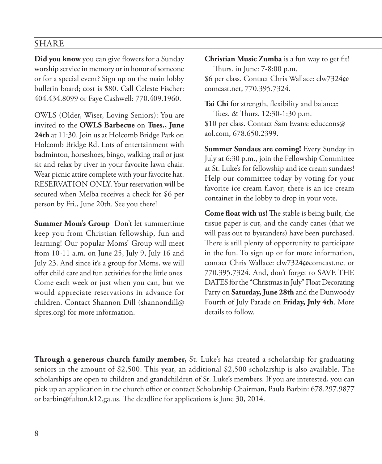#### SHARE

**Did you know** you can give flowers for a Sunday worship service in memory or in honor of someone or for a special event? Sign up on the main lobby bulletin board; cost is \$80. Call Celeste Fischer: 404.434.8099 or Faye Cashwell: 770.409.1960.

OWLS (Older, Wiser, Loving Seniors): You are invited to the **OWLS Barbecue** on **Tues., June 24th** at 11:30. Join us at Holcomb Bridge Park on Holcomb Bridge Rd. Lots of entertainment with badminton, horseshoes, bingo, walking trail or just sit and relax by river in your favorite lawn chair. Wear picnic attire complete with your favorite hat. RESERVATION ONLY. Your reservation will be secured when Melba receives a check for \$6 per person by <u>Fri., June 20th</u>. See you there!

**Summer Mom's Group** Don't let summertime keep you from Christian fellowship, fun and learning! Our popular Moms' Group will meet from 10-11 a.m. on June 25, July 9, July 16 and July 23. And since it's a group for Moms, we will offer child care and fun activities for the little ones. Come each week or just when you can, but we would appreciate reservations in advance for children. Contact Shannon Dill (shannondill@ slpres.org) for more information.

**Christian Music Zumba** is a fun way to get fit! Thurs. in June: 7-8:00 p.m.

\$6 per class. Contact Chris Wallace: clw7324@ comcast.net, 770.395.7324.

**Tai Chi** for strength, flexibility and balance: Tues. & Thurs. 12:30-1:30 p.m. \$10 per class. Contact Sam Evans: educcons@ aol.com, 678.650.2399.

**Summer Sundaes are coming!** Every Sunday in July at 6:30 p.m., join the Fellowship Committee at St. Luke's for fellowship and ice cream sundaes! Help our committee today by voting for your favorite ice cream flavor; there is an ice cream container in the lobby to drop in your vote.

**Come float with us!** The stable is being built, the tissue paper is cut, and the candy canes (that we will pass out to bystanders) have been purchased. There is still plenty of opportunity to participate in the fun. To sign up or for more information, contact Chris Wallace: clw7324@comcast.net or 770.395.7324. And, don't forget to SAVE THE DATES for the "Christmas in July" Float Decorating Party on **Saturday, June 28th** and the Dunwoody Fourth of July Parade on **Friday, July 4th**. More details to follow.

**Through a generous church family member,** St. Luke's has created a scholarship for graduating seniors in the amount of \$2,500. This year, an additional \$2,500 scholarship is also available. The scholarships are open to children and grandchildren of St. Luke's members. If you are interested, you can pick up an application in the church office or contact Scholarship Chairman, Paula Barbin: 678.297.9877 or barbin@fulton.k12.ga.us. The deadline for applications is June 30, 2014.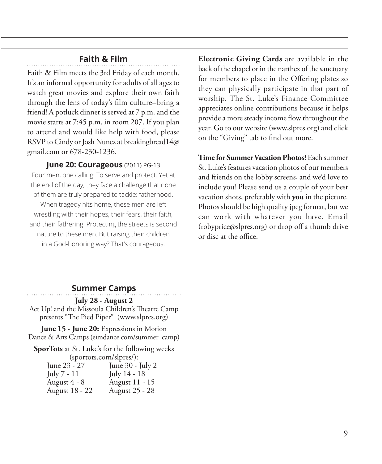### **Faith & Film**

Faith & Film meets the 3rd Friday of each month. It's an informal opportunity for adults of all ages to watch great movies and explore their own faith through the lens of today's film culture–bring a friend! A potluck dinner is served at 7 p.m. and the movie starts at 7:45 p.m. in room 207. If you plan to attend and would like help with food, please RSVP to Cindy or Josh Nunez at breakingbread14@ gmail.com or 678-230-1236.

#### **June 20: Courageous** (2011) PG-13

Four men, one calling: To serve and protect. Yet at the end of the day, they face a challenge that none of them are truly prepared to tackle: fatherhood. When tragedy hits home, these men are left wrestling with their hopes, their fears, their faith, and their fathering. Protecting the streets is second nature to these men. But raising their children in a God-honoring way? That's courageous.

**Electronic Giving Cards** are available in the back of the chapel or in the narthex of the sanctuary for members to place in the Offering plates so they can physically participate in that part of worship. The St. Luke's Finance Committee appreciates online contributions because it helps provide a more steady income flow throughout the year. Go to our website (www.slpres.org) and click on the "Giving" tab to find out more.

**Time for Summer Vacation Photos!** Each summer St. Luke's features vacation photos of our members and friends on the lobby screens, and we'd love to include you! Please send us a couple of your best vacation shots, preferably with **you** in the picture. Photos should be high quality jpeg format, but we can work with whatever you have. Email (robyprice@slpres.org) or drop off a thumb drive or disc at the office.

#### **Summer Camps**

#### **July 28 - August 2**

Act Up! and the Missoula Children's Theatre Camp presents "The Pied Piper" (www.slpres.org)

**June 15 - June 20:** Expressions in Motion Dance & Arts Camps (eimdance.com/summer\_camp)

**SporTots** at St. Luke's for the following weeks (sportots.com/slpres/):

| June 23 - 27   | June 30 - July 2 |
|----------------|------------------|
| July 7 - 11    | July 14 - 18     |
| August 4 - 8   | August 11 - 15   |
| August 18 - 22 | August 25 - 28   |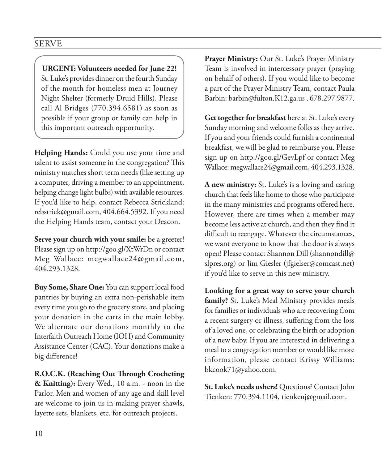**URGENT: Volunteers needed for June 22!**  St. Luke's provides dinner on the fourth Sunday of the month for homeless men at Journey Night Shelter (formerly Druid Hills). Please call Al Bridges (770.394.6581) as soon as possible if your group or family can help in this important outreach opportunity.

**Helping Hands:** Could you use your time and talent to assist someone in the congregation? This ministry matches short term needs (like setting up a computer, driving a member to an appointment, helping change light bulbs) with available resources. If you'd like to help, contact Rebecca Strickland: rebstrick@gmail.com, 404.664.5392. If you need the Helping Hands team, contact your Deacon.

**Serve your church with your smile:** be a greeter! Please sign up on http://goo.gl/XtWrDn or contact Meg Wallace: megwallace24@gmail.com, 404.293.1328.

**Buy Some, Share One:** You can support local food pantries by buying an extra non-perishable item every time you go to the grocery store, and placing your donation in the carts in the main lobby. We alternate our donations monthly to the Interfaith Outreach Home (IOH) and Community Assistance Center (CAC). Your donations make a big difference!

**R.O.C.K. (Reaching Out Through Crocheting & Knitting):** Every Wed., 10 a.m. - noon in the Parlor. Men and women of any age and skill level are welcome to join us in making prayer shawls, layette sets, blankets, etc. for outreach projects.

**Prayer Ministry:** Our St. Luke's Prayer Ministry Team is involved in intercessory prayer (praying on behalf of others). If you would like to become a part of the Prayer Ministry Team, contact Paula Barbin: barbin@fulton.K12.ga.us , 678.297.9877.

**Get together for breakfast** here at St. Luke's every Sunday morning and welcome folks as they arrive. If you and your friends could furnish a continental breakfast, we will be glad to reimburse you. Please sign up on http://goo.gl/GevLpf or contact Meg Wallace: megwallace24@gmail.com, 404.293.1328.

**A new ministry:** St. Luke's is a loving and caring church that feels like home to those who participate in the many ministries and programs offered here. However, there are times when a member may become less active at church, and then they find it difficult to reengage. Whatever the circumstances, we want everyone to know that the door is always open! Please contact Shannon Dill (shannondill@ slpres.org) or Jim Giesler (jfgielser@comcast.net) if you'd like to serve in this new ministry.

**Looking for a great way to serve your church family?** St. Luke's Meal Ministry provides meals for families or individuals who are recovering from a recent surgery or illness, suffering from the loss of a loved one, or celebrating the birth or adoption of a new baby. If you are interested in delivering a meal to a congregation member or would like more information, please contact Krissy Williams: bkcook71@yahoo.com.

**St. Luke's needs ushers!** Questions? Contact John Tienken: 770.394.1104, tienkenj@gmail.com.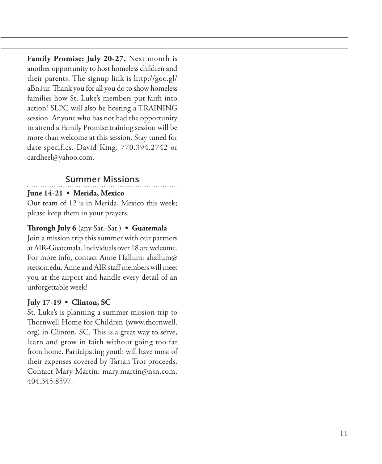**Family Promise: July 20-27.** Next month is another opportunity to host homeless children and their parents. The signup link is http://goo.gl/ aBn1ur. Thank you for all you do to show homeless families how St. Luke's members put faith into action! SLPC will also be hosting a TRAINING session. Anyone who has not had the opportunity to attend a Family Promise training session will be more than welcome at this session. Stay tuned for date specifics. David King: 770.394.2742 or cardheel@yahoo.com.

# **Summer Missions**

#### **June 14-21 • Merida, Mexico**

Our team of 12 is in Merida, Mexico this week; please keep them in your prayers.

#### **Through July 6** (any Sat.-Sat.) **• Guatemala**

Join a mission trip this summer with our partners at AIR-Guatemala. Individuals over 18 are welcome. For more info, contact Anne Hallum: ahallum@ stetson.edu. Anne and AIR staff members will meet you at the airport and handle every detail of an unforgettable week!

#### **July 17-19 • Clinton, SC**

St. Luke's is planning a summer mission trip to Thornwell Home for Children (www.thornwell. org) in Clinton, SC. This is a great way to serve, learn and grow in faith without going too far from home. Participating youth will have most of their expenses covered by Tartan Trot proceeds. Contact Mary Martin: mary.martin@nsn.com, 404.345.8597.